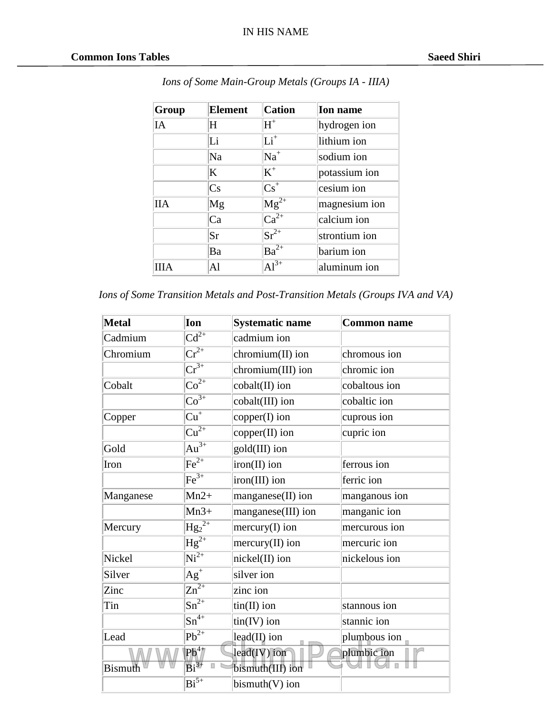| Group      | <b>Element</b> | <b>Cation</b>               | <b>Ion</b> name |
|------------|----------------|-----------------------------|-----------------|
| IA         | H              | $H^+$                       | hydrogen ion    |
|            | Li             | $Li+$                       | lithium ion     |
|            | Na             | $Na+$                       | sodium ion      |
|            | K              | $K^+$                       | potassium ion   |
|            | Cs             | $\text{Cs}^+$               | cesium ion      |
| <b>IIA</b> | Mg             | $\overline{\text{Mg}^{2+}}$ | magnesium ion   |
|            | Ca             | $Ca^{2+}$                   | calcium ion     |
|            | <b>Sr</b>      | $Sr^{2+}$                   | strontium ion   |
|            | Ba             | $\overline{\text{Ba}^{2+}}$ | barium ion      |
| ШA         | AI             | $Al^{3+}$                   | aluminum ion    |

*Ions of Some Main-Group Metals (Groups IA - IIIA)*

|  | Ions of Some Transition Metals and Post-Transition Metals (Groups IVA and VA) |  |  |  |  |
|--|-------------------------------------------------------------------------------|--|--|--|--|
|  |                                                                               |  |  |  |  |

| <b>Metal</b>   | Ion                           | <b>Systematic name</b> | <b>Common name</b> |
|----------------|-------------------------------|------------------------|--------------------|
| Cadmium        | $Cd^{2+}$                     | cadmium ion            |                    |
| Chromium       | $\overline{\text{Cr}^{2+}}$   | chromium(II) ion       | chromous ion       |
|                | $\overline{\mathrm{Cr}^{3+}}$ | chromium(III) ion      | chromic ion        |
| Cobalt         | $\overline{{\rm Co}^{2+}}$    | cobalt(II) ion         | cobaltous ion      |
|                | $\overline{{\rm Co}^{3+}}$    | cobalt(III) ion        | cobaltic ion       |
| Copper         | $\overline{\mathrm{Cu}^+}$    | copper(I) ion          | cuprous ion        |
|                | $\overline{\mathrm{Cu}^{2+}}$ | copper(II) ion         | cupric ion         |
| Gold           | $\overline{Au^{3+}}$          | gold(III) ion          |                    |
| Iron           | $\overline{\text{Fe}^{2+}}$   | iron(II) ion           | ferrous ion        |
|                | $\overline{\text{Fe}^{3+}}$   | iron(III) ion          | ferric ion         |
| Manganese      | $Mn2+$                        | manganese(II) ion      | manganous ion      |
|                | $Mn3+$                        | manganese(III) ion     | manganic ion       |
| Mercury        | $\overline{Hg_2^{2+}}$        | $mercury(I)$ ion       | mercurous ion      |
|                | $\overline{Hg}^{2+}$          | $mercury(II)$ ion      | mercuric ion       |
| Nickel         | $\overline{Ni^{2+}}$          | nickel(II) ion         | nickelous ion      |
| Silver         | $\overline{Ag}^+$             | silver ion             |                    |
| Zinc           | $\overline{Zn^{2+}}$          | zinc ion               |                    |
| Tin            | $\overline{\text{Sn}^{2+}}$   | $tin(II)$ ion          | stannous ion       |
|                | $\overline{\text{Sn}^{4+}}$   | $tin(IV)$ ion          | stannic ion        |
| Lead           | $\overline{\text{Pb}^{2+}}$   | lead(II) ion           | plumbous ion       |
|                | $Pb^{4+}$                     | $lead(IV)$ ion         | plumbic ion        |
| <b>Bismuth</b> | $\overline{\mathrm{Bi}^{3+}}$ | bismuth(III) ion       |                    |
|                | $\overline{\text{Bi}^{5+}}$   | $bismuth(V)$ ion       |                    |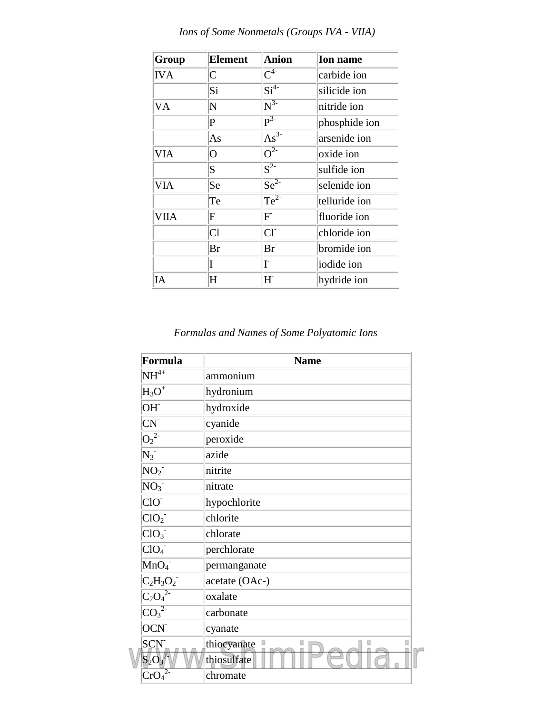| Group      | <b>Element</b> | Anion                        | <b>Ion name</b> |
|------------|----------------|------------------------------|-----------------|
| <b>IVA</b> | $\mathsf{C}$   | $\mathrm{C}^{4-}$            | carbide ion     |
|            | Si             | $\overline{\text{Si}^{4-}}$  | silicide ion    |
| VA         | N              | $\overline{N^{3-}}$          | nitride ion     |
|            | P              | $\overline{\mathbf{p}^{3-}}$ | phosphide ion   |
|            | As             | $As^{\overline{3}}$          | arsenide ion    |
| VIA        | $\overline{O}$ | $\overline{O^{2-}}$          | oxide ion       |
|            | S              | $\overline{S^{2-}}$          | sulfide ion     |
| <b>VIA</b> | Se             | $Se^{2}$                     | selenide ion    |
|            | Te             | $Te^{2}$                     | telluride ion   |
| VIIA       | F              | $F^{\dagger}$                | fluoride ion    |
|            | Cl             | CI <sub>1</sub>              | chloride ion    |
|            | Br             | $Br^-$                       | bromide ion     |
|            | I              | Ī.                           | iodide ion      |
| IA         | H              | $H^{\cdot}$                  | hydride ion     |

*Ions of Some Nonmetals (Groups IVA - VIIA)*

*Formulas and Names of Some Polyatomic Ions*

| Formula                               | <b>Name</b>    |
|---------------------------------------|----------------|
| $NH^{4+}$                             | ammonium       |
| $H_3O^+$                              | hydronium      |
| OH <sup>-</sup>                       | hydroxide      |
| CN <sup>2</sup>                       | cyanide        |
| $\overline{O_2^{2-}}$                 | peroxide       |
| $N_3^-$                               | azide          |
| NO <sub>2</sub>                       | nitrite        |
| NO <sub>3</sub>                       | nitrate        |
| CIO                                   | hypochlorite   |
| ClO <sub>2</sub>                      | chlorite       |
| ClO <sub>3</sub>                      | chlorate       |
| ClO <sub>4</sub>                      | perchlorate    |
| MnO <sub>4</sub>                      | permanganate   |
| $C_2H_3O_2^-$                         | acetate (OAc-) |
| $\overline{{\rm C_2O_4}^{\text{2-}}}$ | oxalate        |
| $\overline{{\rm CO_3}^2}$             | carbonate      |
| OCN <sup>-</sup>                      | cyanate        |
| <b>SCN</b>                            | thiocyanate    |
| $S_2O_3^2$                            | thiosulfate    |
| $Cr\overline{O_4}^2$                  | chromate       |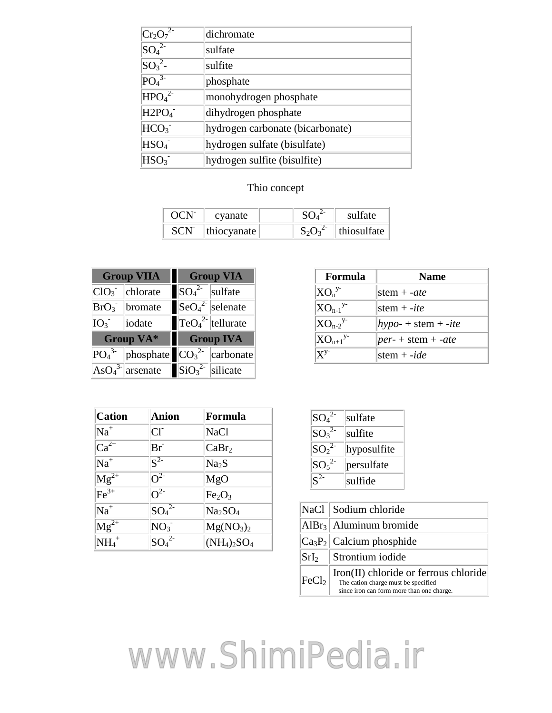| $ Cr_2O_7^{2}$                | dichromate                       |
|-------------------------------|----------------------------------|
| $SO_4^2$                      | sulfate                          |
| $\text{SO}_3^2$ -             | sulfite                          |
| PO <sub>4</sub> <sup>3</sup>  | phosphate                        |
| HPO <sub>4</sub> <sup>2</sup> | monohydrogen phosphate           |
| H2PO <sub>4</sub>             | dihydrogen phosphate             |
| HCO <sub>3</sub>              | hydrogen carbonate (bicarbonate) |
| HSO <sub>4</sub>              | hydrogen sulfate (bisulfate)     |
| HSO <sub>3</sub>              | hydrogen sulfite (bisulfite)     |
|                               |                                  |

## Thio concept

| OCN <sup>-</sup> | cyanate            | SO <sup>2</sup> | sulfate                  |
|------------------|--------------------|-----------------|--------------------------|
|                  | $SCN$  thiocyanate |                 | $S_2O_3^2$   thiosulfate |

| <b>Group VIIA</b>            |                      |                                                            | <b>Group VIA</b>                         |
|------------------------------|----------------------|------------------------------------------------------------|------------------------------------------|
|                              | I<br>$ClO3$ chlorate | $ SO_4^2 $ sulfate                                         |                                          |
|                              | $BrO3$ bromate       |                                                            | $\left  \text{SeO}_4^2 \right $ selenate |
| IO <sub>3</sub>              | iodate               |                                                            | $\left {\rm TeO_4}^2\right $ tellurate   |
| <b>Group VA*</b>             |                      | <b>Group IVA</b>                                           |                                          |
| PO <sub>4</sub> <sup>3</sup> | phosphate            |                                                            | $ CO_3^2 $ carbonate                     |
|                              | $AsO43$ arsenate     | $\left  \frac{\text{SiO}_3^2}{\text{Si}} \right $ silicate |                                          |

| <b>Cation</b>       | Anion               | Formula                           |
|---------------------|---------------------|-----------------------------------|
| $Na+$               | $CI-$               | <b>NaCl</b>                       |
| $Ca^{2+}$           | $Br^-$              | CaBr <sub>2</sub>                 |
| $Na+$               | $\overline{S^{2-}}$ | Na <sub>2</sub> S                 |
| $Mg^{2+}$           | $\overline{O^2}$    | MgO                               |
| $\text{Fe}^{3+}$    | $\overline{O^{2-}}$ | Fe <sub>2</sub> O <sub>3</sub>    |
| $Na+$               | $SO_4^2$            | Na <sub>2</sub> SO <sub>4</sub>   |
| $Mg^{2+}$           | NO <sub>3</sub>     | Mg(NO <sub>3</sub> ) <sub>2</sub> |
| $NH_4$ <sup>+</sup> | $SO_4^2$            | $(NH_4)_2SO_4$                    |

| Formula                   | <b>Name</b>          |
|---------------------------|----------------------|
| $XO_n^{y}$                | stem $+$ -ate        |
| $XO_{n-1}$ <sup>y-</sup>  | stem $+$ -ite        |
| $XO_{n-2}^{y-1}$          | $hypo$ + stem + -ite |
| $XO_{n+1}$ <sup>y-</sup>  | $per$ + stem + -ate  |
| $\mathbf{X}^{\mathbf{y}}$ | stem + - $ide$       |

| $SO_4^2$                     | sulfate     |
|------------------------------|-------------|
| $SO_3^2$                     | sulfite     |
| $SO_2^2$                     | hyposulfite |
| SO <sub>5</sub> <sup>2</sup> | persulfate  |
| $\mathbf{S}^{2}$             | sulfide     |

|                   | NaCl   Sodium chloride                                                                                                             |
|-------------------|------------------------------------------------------------------------------------------------------------------------------------|
|                   | $\text{AlBr}_3$ Aluminum bromide                                                                                                   |
|                   | $ Ca_3P_2 $ Calcium phosphide                                                                                                      |
|                   | $SrI2$ Strontium iodide                                                                                                            |
| FeCl <sub>2</sub> | $\text{Iron}(II)$ chloride or ferrous chloride<br>The cation charge must be specified<br>since iron can form more than one charge. |

[www.ShimiPedia.ir](https://www.shimipedia.ir)